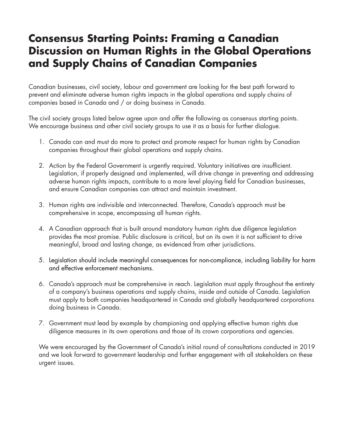## **Consensus Starting Points: Framing a Canadian Discussion on Human Rights in the Global Operations and Supply Chains of Canadian Companies**

Canadian businesses, civil society, labour and government are looking for the best path forward to prevent and eliminate adverse human rights impacts in the global operations and supply chains of companies based in Canada and / or doing business in Canada.

The civil society groups listed below agree upon and offer the following as consensus starting points. We encourage business and other civil society groups to use it as a basis for further dialogue.

- 1. Canada can and must do more to protect and promote respect for human rights by Canadian companies throughout their global operations and supply chains.
- 2. Action by the Federal Government is urgently required. Voluntary initiatives are insufficient. Legislation, if properly designed and implemented, will drive change in preventing and addressing adverse human rights impacts, contribute to a more level playing field for Canadian businesses, and ensure Canadian companies can attract and maintain investment.
- 3. Human rights are indivisible and interconnected. Therefore, Canada's approach must be comprehensive in scope, encompassing all human rights.
- 4. A Canadian approach that is built around mandatory human rights due diligence legislation provides the most promise. Public disclosure is critical, but on its own it is not sufficient to drive meaningful, broad and lasting change, as evidenced from other jurisdictions.
- 5. Legislation should include meaningful consequences for non-compliance, including liability for harm and effective enforcement mechanisms.
- 6. Canada's approach must be comprehensive in reach. Legislation must apply throughout the entirety of a company's business operations and supply chains, inside and outside of Canada. Legislation must apply to both companies headquartered in Canada and globally headquartered corporations doing business in Canada.
- 7. Government must lead by example by championing and applying effective human rights due diligence measures in its own operations and those of its crown corporations and agencies.

We were encouraged by the Government of Canada's initial round of consultations conducted in 2019 and we look forward to government leadership and further engagement with all stakeholders on these urgent issues.